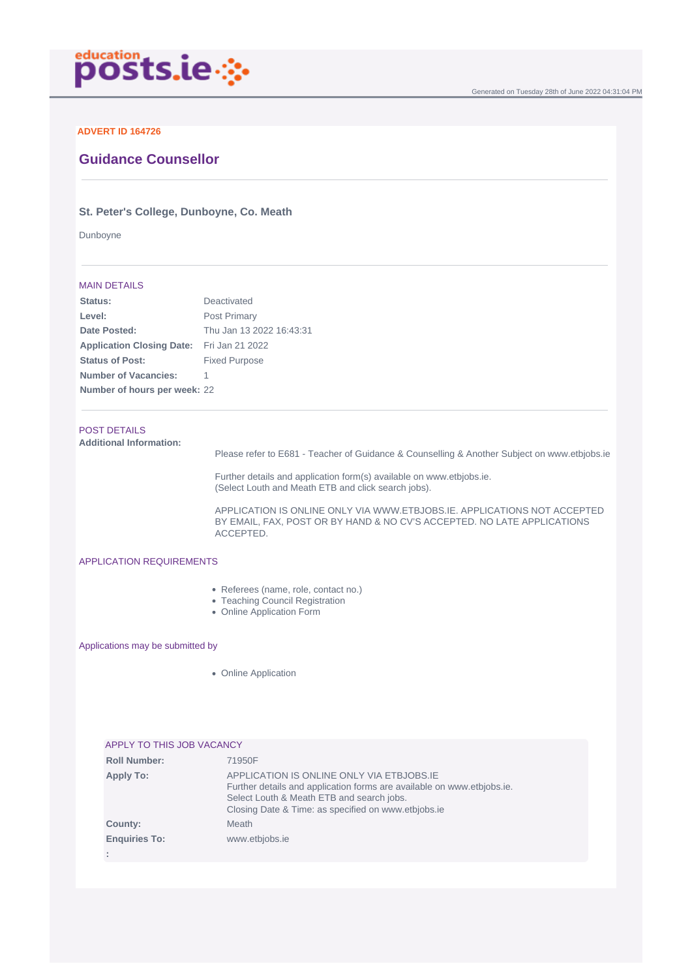

## **ADVERT ID 164726**

# **Guidance Counsellor**

## **St. Peter's College, Dunboyne, Co. Meath**

Dunboyne

### MAIN DETAILS

| Deactivated                                      |
|--------------------------------------------------|
| Post Primary                                     |
| Thu Jan 13 2022 16:43:31                         |
| <b>Application Closing Date:</b> Fri Jan 21 2022 |
| <b>Fixed Purpose</b>                             |
|                                                  |
| Number of hours per week: 22                     |
|                                                  |

# POST DETAILS

**Additional Information:**

Please refer to E681 - Teacher of Guidance & Counselling & Another Subject on www.etbjobs.ie

Further details and application form(s) available on www.etbjobs.ie. (Select Louth and Meath ETB and click search jobs).

APPLICATION IS ONLINE ONLY VIA WWW.ETBJOBS.IE. APPLICATIONS NOT ACCEPTED BY EMAIL, FAX, POST OR BY HAND & NO CV'S ACCEPTED. NO LATE APPLICATIONS ACCEPTED.

#### APPLICATION REQUIREMENTS

- Referees (name, role, contact no.)
- Teaching Council Registration
- Online Application Form

Applications may be submitted by

• Online Application

|                      | APPLY TO THIS JOB VACANCY                                                                                                                                                                                               |
|----------------------|-------------------------------------------------------------------------------------------------------------------------------------------------------------------------------------------------------------------------|
| <b>Roll Number:</b>  | 71950F                                                                                                                                                                                                                  |
| <b>Apply To:</b>     | APPLICATION IS ONLINE ONLY VIA ETBJOBS.IE<br>Further details and application forms are available on www.etbiobs.ie.<br>Select Louth & Meath ETB and search jobs.<br>Closing Date & Time: as specified on www.etbjobs.ie |
| County:              | Meath                                                                                                                                                                                                                   |
| <b>Enquiries To:</b> | www.etbjobs.ie                                                                                                                                                                                                          |
|                      |                                                                                                                                                                                                                         |